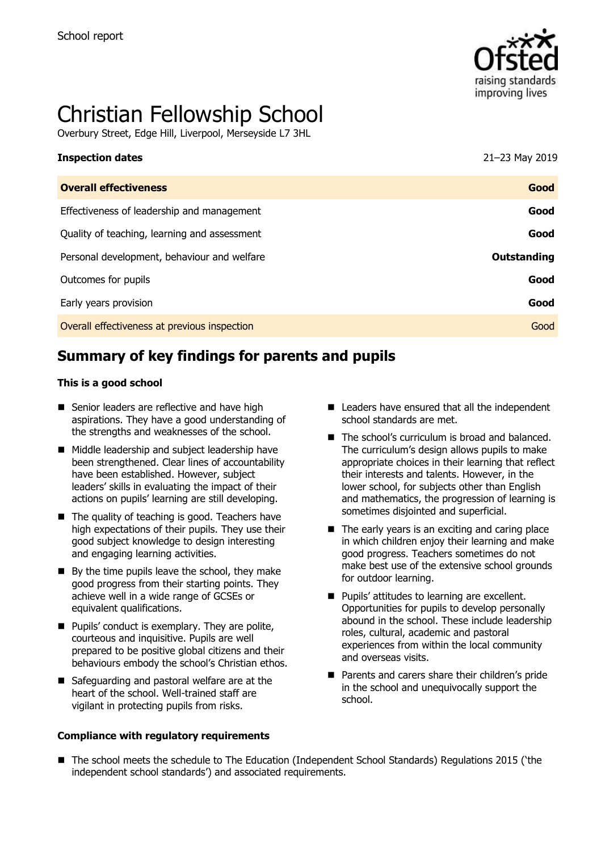

# Christian Fellowship School

Overbury Street, Edge Hill, Liverpool, Merseyside L7 3HL

| <b>Inspection dates</b>                      | 21-23 May 2019 |
|----------------------------------------------|----------------|
| <b>Overall effectiveness</b>                 | Good           |
| Effectiveness of leadership and management   | Good           |
| Quality of teaching, learning and assessment | Good           |
| Personal development, behaviour and welfare  | Outstanding    |
| Outcomes for pupils                          | Good           |
| Early years provision                        | Good           |
| Overall effectiveness at previous inspection | Good           |

# **Summary of key findings for parents and pupils**

#### **This is a good school**

- Senior leaders are reflective and have high aspirations. They have a good understanding of the strengths and weaknesses of the school.
- Middle leadership and subject leadership have been strengthened. Clear lines of accountability have been established. However, subject leaders' skills in evaluating the impact of their actions on pupils' learning are still developing.
- The quality of teaching is good. Teachers have high expectations of their pupils. They use their good subject knowledge to design interesting and engaging learning activities.
- $\blacksquare$  By the time pupils leave the school, they make good progress from their starting points. They achieve well in a wide range of GCSEs or equivalent qualifications.
- **Pupils' conduct is exemplary. They are polite,** courteous and inquisitive. Pupils are well prepared to be positive global citizens and their behaviours embody the school's Christian ethos.
- Safeguarding and pastoral welfare are at the heart of the school. Well-trained staff are vigilant in protecting pupils from risks.

#### **Compliance with regulatory requirements**

- Leaders have ensured that all the independent school standards are met.
- The school's curriculum is broad and balanced. The curriculum's design allows pupils to make appropriate choices in their learning that reflect their interests and talents. However, in the lower school, for subjects other than English and mathematics, the progression of learning is sometimes disjointed and superficial.
- $\blacksquare$  The early years is an exciting and caring place in which children enjoy their learning and make good progress. Teachers sometimes do not make best use of the extensive school grounds for outdoor learning.
- **Pupils' attitudes to learning are excellent.** Opportunities for pupils to develop personally abound in the school. These include leadership roles, cultural, academic and pastoral experiences from within the local community and overseas visits.
- **Parents and carers share their children's pride** in the school and unequivocally support the school.
- The school meets the schedule to The Education (Independent School Standards) Regulations 2015 ('the independent school standards') and associated requirements.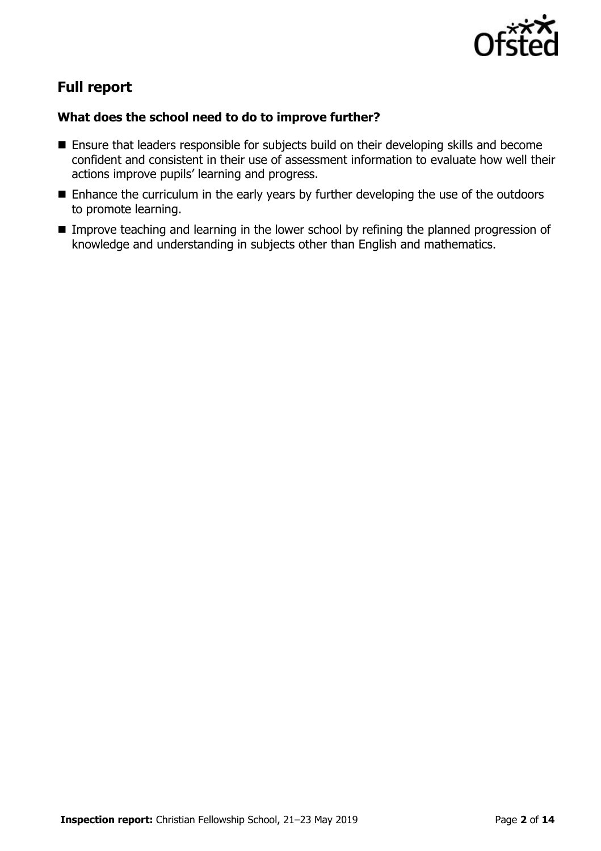

# **Full report**

### **What does the school need to do to improve further?**

- **Ensure that leaders responsible for subjects build on their developing skills and become** confident and consistent in their use of assessment information to evaluate how well their actions improve pupils' learning and progress.
- **E** Enhance the curriculum in the early years by further developing the use of the outdoors to promote learning.
- Improve teaching and learning in the lower school by refining the planned progression of knowledge and understanding in subjects other than English and mathematics.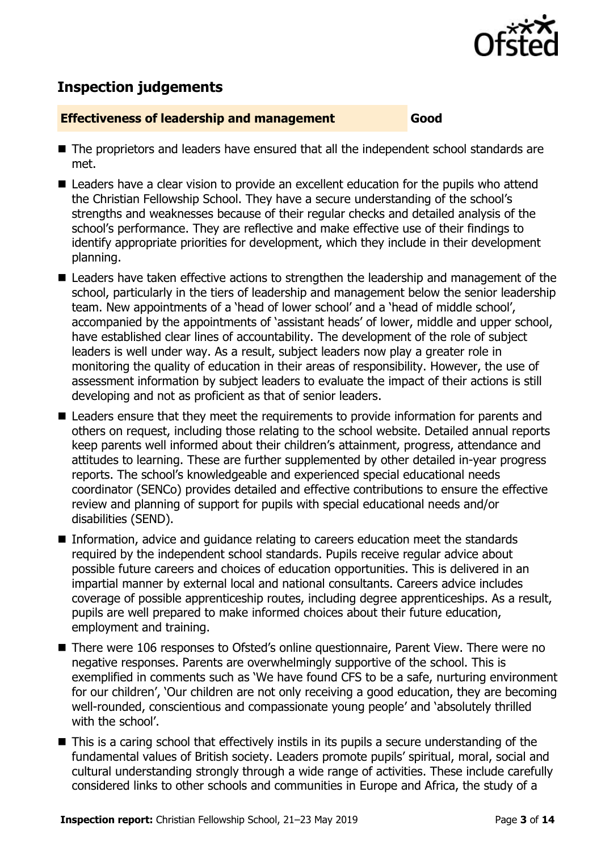

# **Inspection judgements**

#### **Effectiveness of leadership and management Good**

- The proprietors and leaders have ensured that all the independent school standards are met.
- **Leaders have a clear vision to provide an excellent education for the pupils who attend** the Christian Fellowship School. They have a secure understanding of the school's strengths and weaknesses because of their regular checks and detailed analysis of the school's performance. They are reflective and make effective use of their findings to identify appropriate priorities for development, which they include in their development planning.
- Leaders have taken effective actions to strengthen the leadership and management of the school, particularly in the tiers of leadership and management below the senior leadership team. New appointments of a 'head of lower school' and a 'head of middle school', accompanied by the appointments of 'assistant heads' of lower, middle and upper school, have established clear lines of accountability. The development of the role of subject leaders is well under way. As a result, subject leaders now play a greater role in monitoring the quality of education in their areas of responsibility. However, the use of assessment information by subject leaders to evaluate the impact of their actions is still developing and not as proficient as that of senior leaders.
- Leaders ensure that they meet the requirements to provide information for parents and others on request, including those relating to the school website. Detailed annual reports keep parents well informed about their children's attainment, progress, attendance and attitudes to learning. These are further supplemented by other detailed in-year progress reports. The school's knowledgeable and experienced special educational needs coordinator (SENCo) provides detailed and effective contributions to ensure the effective review and planning of support for pupils with special educational needs and/or disabilities (SEND).
- Information, advice and guidance relating to careers education meet the standards required by the independent school standards. Pupils receive regular advice about possible future careers and choices of education opportunities. This is delivered in an impartial manner by external local and national consultants. Careers advice includes coverage of possible apprenticeship routes, including degree apprenticeships. As a result, pupils are well prepared to make informed choices about their future education, employment and training.
- There were 106 responses to Ofsted's online questionnaire, Parent View. There were no negative responses. Parents are overwhelmingly supportive of the school. This is exemplified in comments such as 'We have found CFS to be a safe, nurturing environment for our children', 'Our children are not only receiving a good education, they are becoming well-rounded, conscientious and compassionate young people' and 'absolutely thrilled with the school'.
- This is a caring school that effectively instils in its pupils a secure understanding of the fundamental values of British society. Leaders promote pupils' spiritual, moral, social and cultural understanding strongly through a wide range of activities. These include carefully considered links to other schools and communities in Europe and Africa, the study of a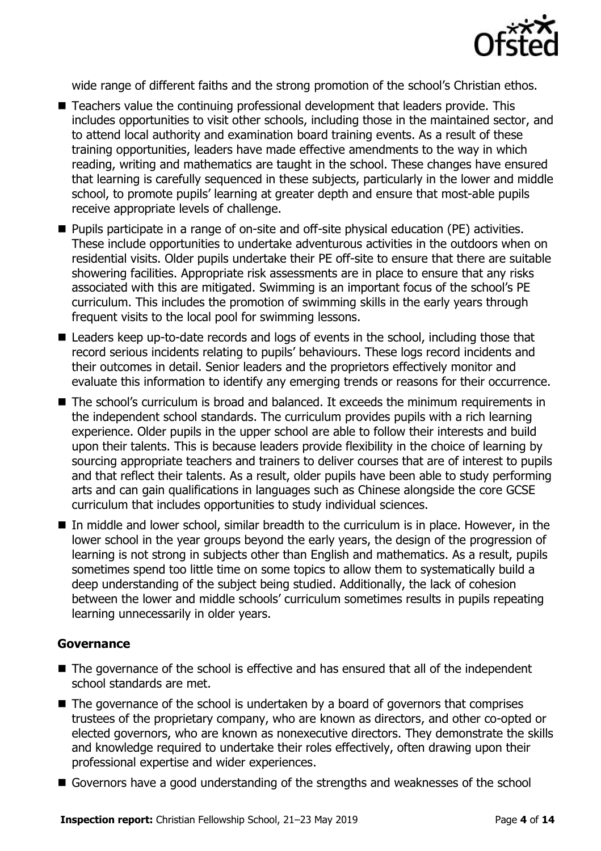

wide range of different faiths and the strong promotion of the school's Christian ethos.

- Teachers value the continuing professional development that leaders provide. This includes opportunities to visit other schools, including those in the maintained sector, and to attend local authority and examination board training events. As a result of these training opportunities, leaders have made effective amendments to the way in which reading, writing and mathematics are taught in the school. These changes have ensured that learning is carefully sequenced in these subjects, particularly in the lower and middle school, to promote pupils' learning at greater depth and ensure that most-able pupils receive appropriate levels of challenge.
- Pupils participate in a range of on-site and off-site physical education (PE) activities. These include opportunities to undertake adventurous activities in the outdoors when on residential visits. Older pupils undertake their PE off-site to ensure that there are suitable showering facilities. Appropriate risk assessments are in place to ensure that any risks associated with this are mitigated. Swimming is an important focus of the school's PE curriculum. This includes the promotion of swimming skills in the early years through frequent visits to the local pool for swimming lessons.
- Leaders keep up-to-date records and logs of events in the school, including those that record serious incidents relating to pupils' behaviours. These logs record incidents and their outcomes in detail. Senior leaders and the proprietors effectively monitor and evaluate this information to identify any emerging trends or reasons for their occurrence.
- The school's curriculum is broad and balanced. It exceeds the minimum requirements in the independent school standards. The curriculum provides pupils with a rich learning experience. Older pupils in the upper school are able to follow their interests and build upon their talents. This is because leaders provide flexibility in the choice of learning by sourcing appropriate teachers and trainers to deliver courses that are of interest to pupils and that reflect their talents. As a result, older pupils have been able to study performing arts and can gain qualifications in languages such as Chinese alongside the core GCSE curriculum that includes opportunities to study individual sciences.
- In middle and lower school, similar breadth to the curriculum is in place. However, in the lower school in the year groups beyond the early years, the design of the progression of learning is not strong in subjects other than English and mathematics. As a result, pupils sometimes spend too little time on some topics to allow them to systematically build a deep understanding of the subject being studied. Additionally, the lack of cohesion between the lower and middle schools' curriculum sometimes results in pupils repeating learning unnecessarily in older years.

### **Governance**

- The governance of the school is effective and has ensured that all of the independent school standards are met.
- The governance of the school is undertaken by a board of governors that comprises trustees of the proprietary company, who are known as directors, and other co-opted or elected governors, who are known as nonexecutive directors. They demonstrate the skills and knowledge required to undertake their roles effectively, often drawing upon their professional expertise and wider experiences.
- Governors have a good understanding of the strengths and weaknesses of the school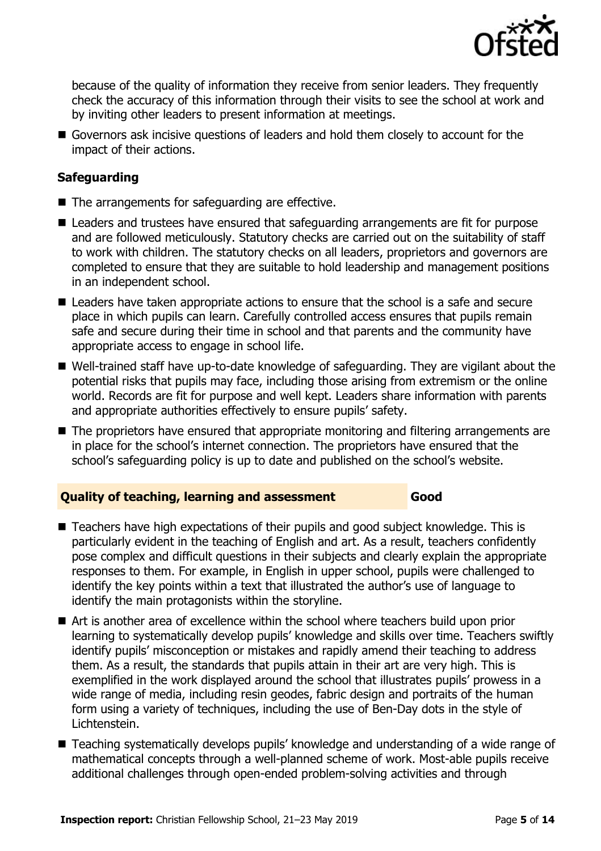

because of the quality of information they receive from senior leaders. They frequently check the accuracy of this information through their visits to see the school at work and by inviting other leaders to present information at meetings.

Governors ask incisive questions of leaders and hold them closely to account for the impact of their actions.

### **Safeguarding**

- $\blacksquare$  The arrangements for safeguarding are effective.
- Leaders and trustees have ensured that safeguarding arrangements are fit for purpose and are followed meticulously. Statutory checks are carried out on the suitability of staff to work with children. The statutory checks on all leaders, proprietors and governors are completed to ensure that they are suitable to hold leadership and management positions in an independent school.
- Leaders have taken appropriate actions to ensure that the school is a safe and secure place in which pupils can learn. Carefully controlled access ensures that pupils remain safe and secure during their time in school and that parents and the community have appropriate access to engage in school life.
- Well-trained staff have up-to-date knowledge of safeguarding. They are vigilant about the potential risks that pupils may face, including those arising from extremism or the online world. Records are fit for purpose and well kept. Leaders share information with parents and appropriate authorities effectively to ensure pupils' safety.
- The proprietors have ensured that appropriate monitoring and filtering arrangements are in place for the school's internet connection. The proprietors have ensured that the school's safeguarding policy is up to date and published on the school's website.

#### **Quality of teaching, learning and assessment Good**

- Teachers have high expectations of their pupils and good subject knowledge. This is particularly evident in the teaching of English and art. As a result, teachers confidently pose complex and difficult questions in their subjects and clearly explain the appropriate responses to them. For example, in English in upper school, pupils were challenged to identify the key points within a text that illustrated the author's use of language to identify the main protagonists within the storyline.
- Art is another area of excellence within the school where teachers build upon prior learning to systematically develop pupils' knowledge and skills over time. Teachers swiftly identify pupils' misconception or mistakes and rapidly amend their teaching to address them. As a result, the standards that pupils attain in their art are very high. This is exemplified in the work displayed around the school that illustrates pupils' prowess in a wide range of media, including resin geodes, fabric design and portraits of the human form using a variety of techniques, including the use of Ben-Day dots in the style of Lichtenstein.
- Teaching systematically develops pupils' knowledge and understanding of a wide range of mathematical concepts through a well-planned scheme of work. Most-able pupils receive additional challenges through open-ended problem-solving activities and through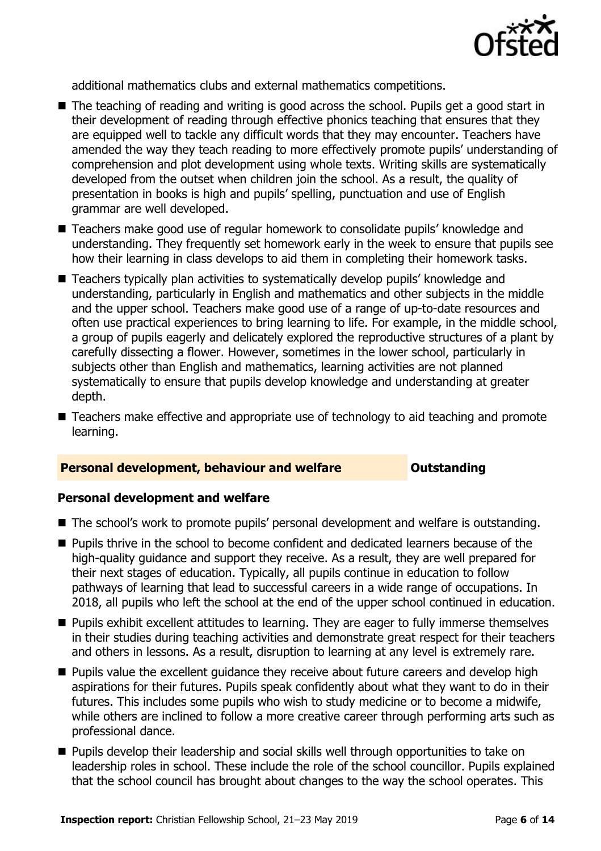

additional mathematics clubs and external mathematics competitions.

- The teaching of reading and writing is good across the school. Pupils get a good start in their development of reading through effective phonics teaching that ensures that they are equipped well to tackle any difficult words that they may encounter. Teachers have amended the way they teach reading to more effectively promote pupils' understanding of comprehension and plot development using whole texts. Writing skills are systematically developed from the outset when children join the school. As a result, the quality of presentation in books is high and pupils' spelling, punctuation and use of English grammar are well developed.
- Teachers make good use of regular homework to consolidate pupils' knowledge and understanding. They frequently set homework early in the week to ensure that pupils see how their learning in class develops to aid them in completing their homework tasks.
- Teachers typically plan activities to systematically develop pupils' knowledge and understanding, particularly in English and mathematics and other subjects in the middle and the upper school. Teachers make good use of a range of up-to-date resources and often use practical experiences to bring learning to life. For example, in the middle school, a group of pupils eagerly and delicately explored the reproductive structures of a plant by carefully dissecting a flower. However, sometimes in the lower school, particularly in subjects other than English and mathematics, learning activities are not planned systematically to ensure that pupils develop knowledge and understanding at greater depth.
- Teachers make effective and appropriate use of technology to aid teaching and promote learning.

#### **Personal development, behaviour and welfare <b>COUTS** Outstanding

#### **Personal development and welfare**

- The school's work to promote pupils' personal development and welfare is outstanding.
- **Pupils thrive in the school to become confident and dedicated learners because of the** high-quality guidance and support they receive. As a result, they are well prepared for their next stages of education. Typically, all pupils continue in education to follow pathways of learning that lead to successful careers in a wide range of occupations. In 2018, all pupils who left the school at the end of the upper school continued in education.
- **Pupils exhibit excellent attitudes to learning. They are eager to fully immerse themselves** in their studies during teaching activities and demonstrate great respect for their teachers and others in lessons. As a result, disruption to learning at any level is extremely rare.
- **Pupils value the excellent quidance they receive about future careers and develop high** aspirations for their futures. Pupils speak confidently about what they want to do in their futures. This includes some pupils who wish to study medicine or to become a midwife, while others are inclined to follow a more creative career through performing arts such as professional dance.
- **Pupils develop their leadership and social skills well through opportunities to take on** leadership roles in school. These include the role of the school councillor. Pupils explained that the school council has brought about changes to the way the school operates. This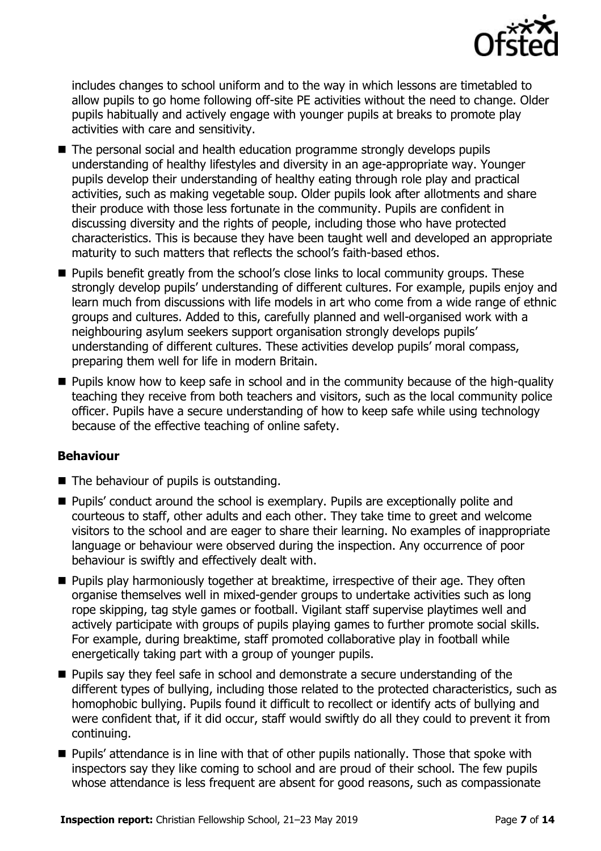

includes changes to school uniform and to the way in which lessons are timetabled to allow pupils to go home following off-site PE activities without the need to change. Older pupils habitually and actively engage with younger pupils at breaks to promote play activities with care and sensitivity.

- The personal social and health education programme strongly develops pupils understanding of healthy lifestyles and diversity in an age-appropriate way. Younger pupils develop their understanding of healthy eating through role play and practical activities, such as making vegetable soup. Older pupils look after allotments and share their produce with those less fortunate in the community. Pupils are confident in discussing diversity and the rights of people, including those who have protected characteristics. This is because they have been taught well and developed an appropriate maturity to such matters that reflects the school's faith-based ethos.
- **Pupils benefit greatly from the school's close links to local community groups. These** strongly develop pupils' understanding of different cultures. For example, pupils enjoy and learn much from discussions with life models in art who come from a wide range of ethnic groups and cultures. Added to this, carefully planned and well-organised work with a neighbouring asylum seekers support organisation strongly develops pupils' understanding of different cultures. These activities develop pupils' moral compass, preparing them well for life in modern Britain.
- **Pupils know how to keep safe in school and in the community because of the high-quality** teaching they receive from both teachers and visitors, such as the local community police officer. Pupils have a secure understanding of how to keep safe while using technology because of the effective teaching of online safety.

### **Behaviour**

- $\blacksquare$  The behaviour of pupils is outstanding.
- **Pupils'** conduct around the school is exemplary. Pupils are exceptionally polite and courteous to staff, other adults and each other. They take time to greet and welcome visitors to the school and are eager to share their learning. No examples of inappropriate language or behaviour were observed during the inspection. Any occurrence of poor behaviour is swiftly and effectively dealt with.
- **Pupils play harmoniously together at breaktime, irrespective of their age. They often** organise themselves well in mixed-gender groups to undertake activities such as long rope skipping, tag style games or football. Vigilant staff supervise playtimes well and actively participate with groups of pupils playing games to further promote social skills. For example, during breaktime, staff promoted collaborative play in football while energetically taking part with a group of younger pupils.
- **Pupils say they feel safe in school and demonstrate a secure understanding of the** different types of bullying, including those related to the protected characteristics, such as homophobic bullying. Pupils found it difficult to recollect or identify acts of bullying and were confident that, if it did occur, staff would swiftly do all they could to prevent it from continuing.
- **Pupils' attendance is in line with that of other pupils nationally. Those that spoke with** inspectors say they like coming to school and are proud of their school. The few pupils whose attendance is less frequent are absent for good reasons, such as compassionate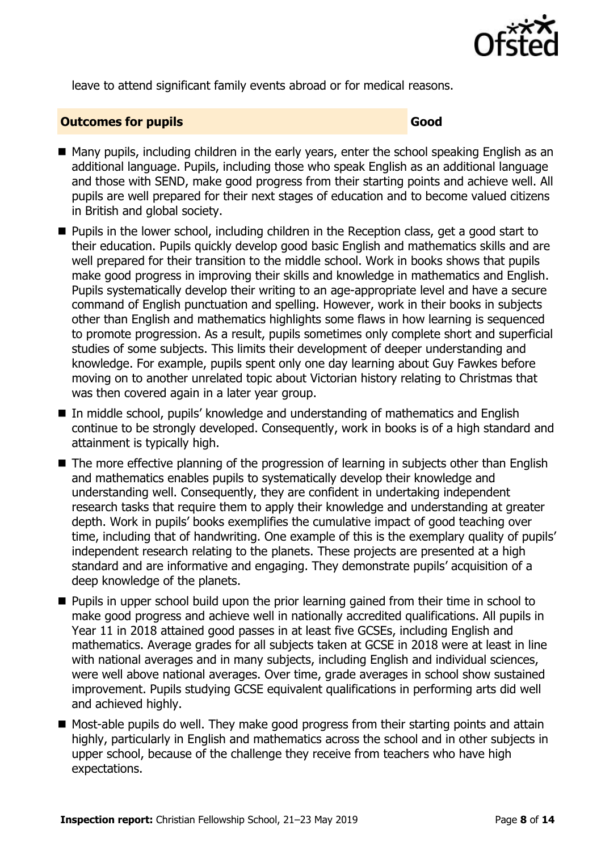

leave to attend significant family events abroad or for medical reasons.

#### **Outcomes for pupils Good**

- Many pupils, including children in the early years, enter the school speaking English as an additional language. Pupils, including those who speak English as an additional language and those with SEND, make good progress from their starting points and achieve well. All pupils are well prepared for their next stages of education and to become valued citizens in British and global society.
- Pupils in the lower school, including children in the Reception class, get a good start to their education. Pupils quickly develop good basic English and mathematics skills and are well prepared for their transition to the middle school. Work in books shows that pupils make good progress in improving their skills and knowledge in mathematics and English. Pupils systematically develop their writing to an age-appropriate level and have a secure command of English punctuation and spelling. However, work in their books in subjects other than English and mathematics highlights some flaws in how learning is sequenced to promote progression. As a result, pupils sometimes only complete short and superficial studies of some subjects. This limits their development of deeper understanding and knowledge. For example, pupils spent only one day learning about Guy Fawkes before moving on to another unrelated topic about Victorian history relating to Christmas that was then covered again in a later year group.
- In middle school, pupils' knowledge and understanding of mathematics and English continue to be strongly developed. Consequently, work in books is of a high standard and attainment is typically high.
- The more effective planning of the progression of learning in subjects other than English and mathematics enables pupils to systematically develop their knowledge and understanding well. Consequently, they are confident in undertaking independent research tasks that require them to apply their knowledge and understanding at greater depth. Work in pupils' books exemplifies the cumulative impact of good teaching over time, including that of handwriting. One example of this is the exemplary quality of pupils' independent research relating to the planets. These projects are presented at a high standard and are informative and engaging. They demonstrate pupils' acquisition of a deep knowledge of the planets.
- **Pupils in upper school build upon the prior learning gained from their time in school to** make good progress and achieve well in nationally accredited qualifications. All pupils in Year 11 in 2018 attained good passes in at least five GCSEs, including English and mathematics. Average grades for all subjects taken at GCSE in 2018 were at least in line with national averages and in many subjects, including English and individual sciences, were well above national averages. Over time, grade averages in school show sustained improvement. Pupils studying GCSE equivalent qualifications in performing arts did well and achieved highly.
- Most-able pupils do well. They make good progress from their starting points and attain highly, particularly in English and mathematics across the school and in other subjects in upper school, because of the challenge they receive from teachers who have high expectations.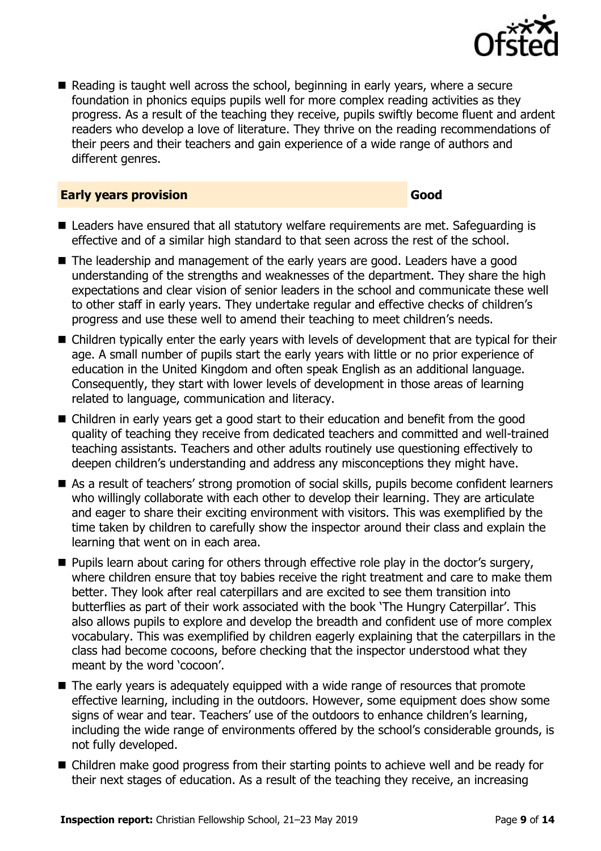

Reading is taught well across the school, beginning in early years, where a secure foundation in phonics equips pupils well for more complex reading activities as they progress. As a result of the teaching they receive, pupils swiftly become fluent and ardent readers who develop a love of literature. They thrive on the reading recommendations of their peers and their teachers and gain experience of a wide range of authors and different genres.

#### **Early years provision Good Good**

- Leaders have ensured that all statutory welfare requirements are met. Safeguarding is effective and of a similar high standard to that seen across the rest of the school.
- The leadership and management of the early years are good. Leaders have a good understanding of the strengths and weaknesses of the department. They share the high expectations and clear vision of senior leaders in the school and communicate these well to other staff in early years. They undertake regular and effective checks of children's progress and use these well to amend their teaching to meet children's needs.
- Children typically enter the early years with levels of development that are typical for their age. A small number of pupils start the early years with little or no prior experience of education in the United Kingdom and often speak English as an additional language. Consequently, they start with lower levels of development in those areas of learning related to language, communication and literacy.
- Children in early years get a good start to their education and benefit from the good quality of teaching they receive from dedicated teachers and committed and well-trained teaching assistants. Teachers and other adults routinely use questioning effectively to deepen children's understanding and address any misconceptions they might have.
- As a result of teachers' strong promotion of social skills, pupils become confident learners who willingly collaborate with each other to develop their learning. They are articulate and eager to share their exciting environment with visitors. This was exemplified by the time taken by children to carefully show the inspector around their class and explain the learning that went on in each area.
- **Pupils learn about caring for others through effective role play in the doctor's surgery,** where children ensure that toy babies receive the right treatment and care to make them better. They look after real caterpillars and are excited to see them transition into butterflies as part of their work associated with the book 'The Hungry Caterpillar'. This also allows pupils to explore and develop the breadth and confident use of more complex vocabulary. This was exemplified by children eagerly explaining that the caterpillars in the class had become cocoons, before checking that the inspector understood what they meant by the word 'cocoon'.
- The early years is adequately equipped with a wide range of resources that promote effective learning, including in the outdoors. However, some equipment does show some signs of wear and tear. Teachers' use of the outdoors to enhance children's learning, including the wide range of environments offered by the school's considerable grounds, is not fully developed.
- Children make good progress from their starting points to achieve well and be ready for their next stages of education. As a result of the teaching they receive, an increasing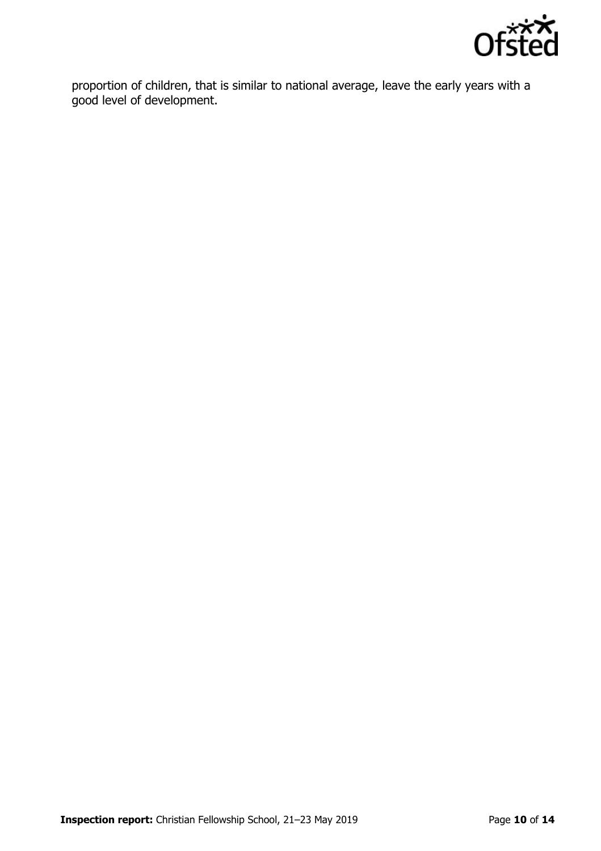

proportion of children, that is similar to national average, leave the early years with a good level of development.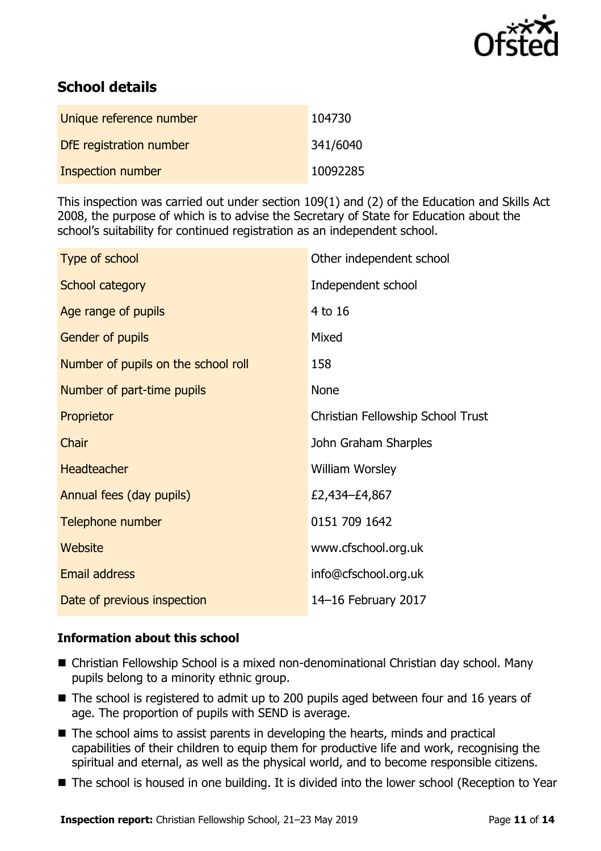

# **School details**

| Unique reference number | 104730   |
|-------------------------|----------|
| DfE registration number | 341/6040 |
| Inspection number       | 10092285 |

This inspection was carried out under section 109(1) and (2) of the Education and Skills Act 2008, the purpose of which is to advise the Secretary of State for Education about the school's suitability for continued registration as an independent school.

| Type of school                      | Other independent school          |
|-------------------------------------|-----------------------------------|
| School category                     | Independent school                |
| Age range of pupils                 | 4 to 16                           |
| Gender of pupils                    | Mixed                             |
| Number of pupils on the school roll | 158                               |
| Number of part-time pupils          | None                              |
| Proprietor                          | Christian Fellowship School Trust |
| Chair                               | John Graham Sharples              |
| <b>Headteacher</b>                  | <b>William Worsley</b>            |
| Annual fees (day pupils)            | £2,434-£4,867                     |
| Telephone number                    | 0151 709 1642                     |
| <b>Website</b>                      | www.cfschool.org.uk               |
| <b>Email address</b>                | info@cfschool.org.uk              |
| Date of previous inspection         | 14-16 February 2017               |

### **Information about this school**

- Christian Fellowship School is a mixed non-denominational Christian day school. Many pupils belong to a minority ethnic group.
- The school is registered to admit up to 200 pupils aged between four and 16 years of age. The proportion of pupils with SEND is average.
- The school aims to assist parents in developing the hearts, minds and practical capabilities of their children to equip them for productive life and work, recognising the spiritual and eternal, as well as the physical world, and to become responsible citizens.
- The school is housed in one building. It is divided into the lower school (Reception to Year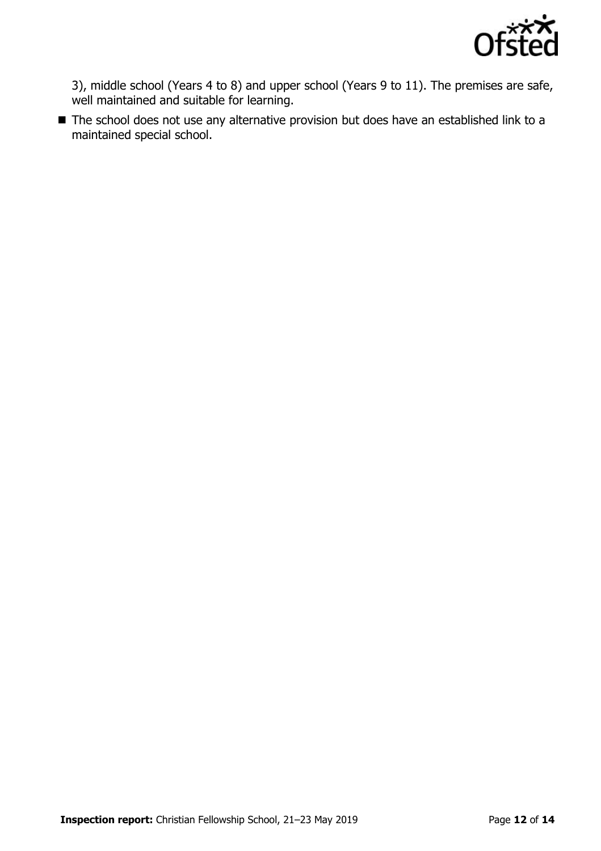

3), middle school (Years 4 to 8) and upper school (Years 9 to 11). The premises are safe, well maintained and suitable for learning.

■ The school does not use any alternative provision but does have an established link to a maintained special school.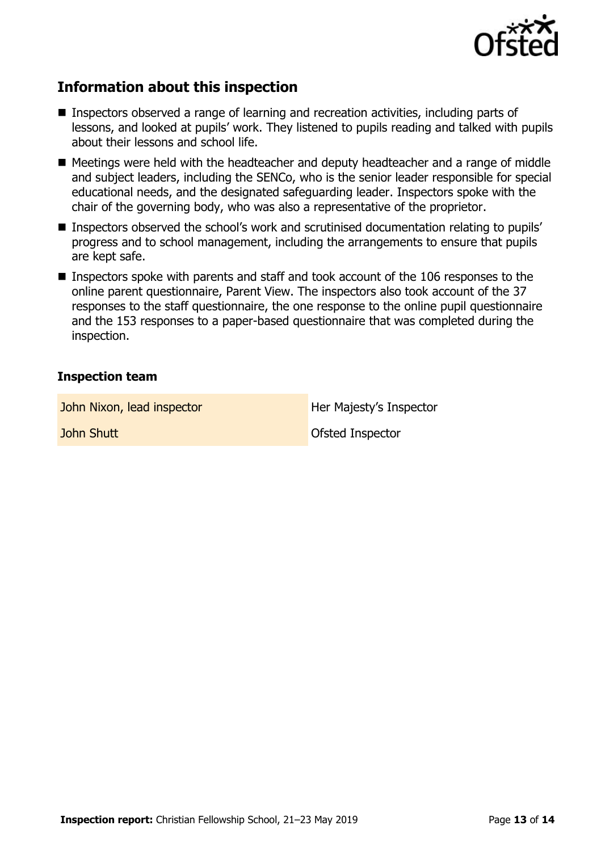

## **Information about this inspection**

- Inspectors observed a range of learning and recreation activities, including parts of lessons, and looked at pupils' work. They listened to pupils reading and talked with pupils about their lessons and school life.
- Meetings were held with the headteacher and deputy headteacher and a range of middle and subject leaders, including the SENCo, who is the senior leader responsible for special educational needs, and the designated safeguarding leader. Inspectors spoke with the chair of the governing body, who was also a representative of the proprietor.
- Inspectors observed the school's work and scrutinised documentation relating to pupils' progress and to school management, including the arrangements to ensure that pupils are kept safe.
- Inspectors spoke with parents and staff and took account of the 106 responses to the online parent questionnaire, Parent View. The inspectors also took account of the 37 responses to the staff questionnaire, the one response to the online pupil questionnaire and the 153 responses to a paper-based questionnaire that was completed during the inspection.

#### **Inspection team**

John Nixon, lead inspector **Her Majesty's Inspector** 

**John Shutt Contract Contract Contract Contract Contract Contract Contract Contract Contract Contract Contract Contract Contract Contract Contract Contract Contract Contract Contract Contract Contract Contract Contract Con**